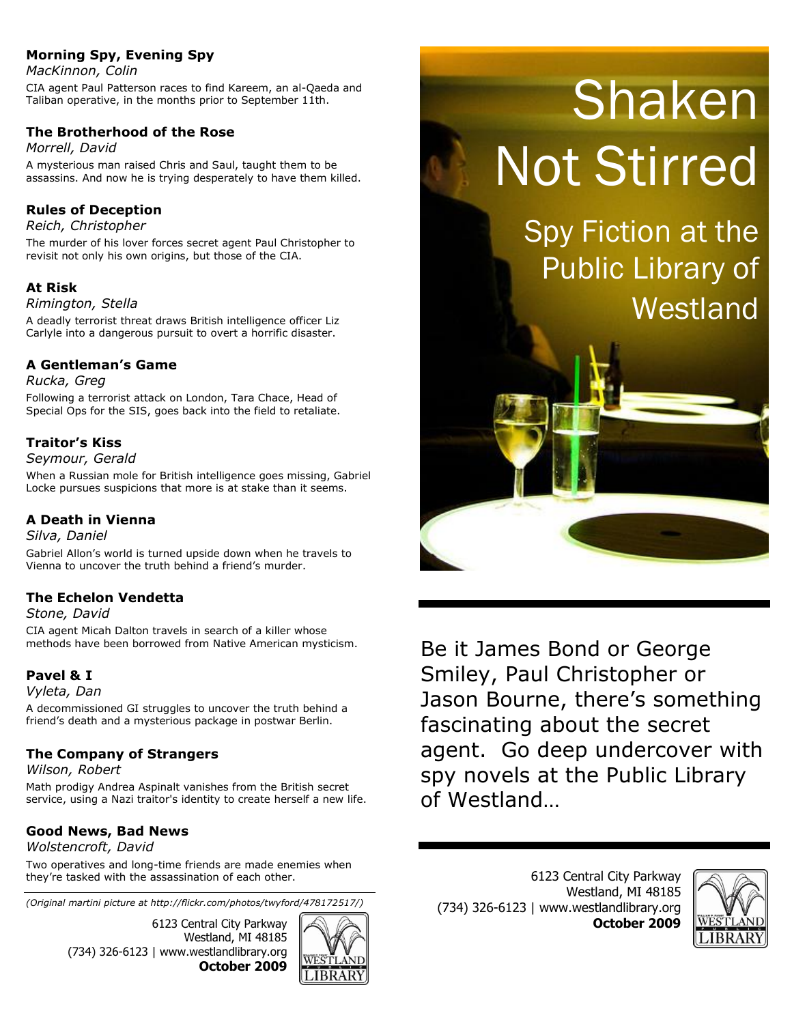# **Morning Spy, Evening Spy**

*MacKinnon, Colin* CIA agent Paul Patterson races to find Kareem, an al-Qaeda and Taliban operative, in the months prior to September 11th.

# **The Brotherhood of the Rose**

*Morrell, David*

A mysterious man raised Chris and Saul, taught them to be assassins. And now he is trying desperately to have them killed.

# **Rules of Deception**

*Reich, Christopher*

The murder of his lover forces secret agent Paul Christopher to revisit not only his own origins, but those of the CIA.

## **At Risk**

#### *Rimington, Stella*

A deadly terrorist threat draws British intelligence officer Liz Carlyle into a dangerous pursuit to overt a horrific disaster.

## **A Gentleman's Game**

*Rucka, Greg* Following a terrorist attack on London, Tara Chace, Head of Special Ops for the SIS, goes back into the field to retaliate.

# **Traitor's Kiss**

*Seymour, Gerald*

When a Russian mole for British intelligence goes missing, Gabriel Locke pursues suspicions that more is at stake than it seems.

## **A Death in Vienna**

*Silva, Daniel*

Gabriel Allon's world is turned upside down when he travels to Vienna to uncover the truth behind a friend's murder.

# **The Echelon Vendetta**

*Stone, David* CIA agent Micah Dalton travels in search of a killer whose methods have been borrowed from Native American mysticism.

# **Pavel & I**

*Vyleta, Dan*

A decommissioned GI struggles to uncover the truth behind a friend's death and a mysterious package in postwar Berlin.

# **The Company of Strangers**

*Wilson, Robert*

Math prodigy Andrea Aspinalt vanishes from the British secret service, using a Nazi traitor's identity to create herself a new life.

# **Good News, Bad News**

*Wolstencroft, David*

Two operatives and long-time friends are made enemies when they're tasked with the assassination of each other.

*(Original martini picture at http://flickr.com/photos/twyford/478172517/)*

6123 Central City Parkway Westland, MI 48185 (734) 326-6123 | www.westlandlibrary.org **October 2009**



# Shaken Not Stirred

Spy Fiction at the Public Library of **Westland** 

Be it James Bond or George Smiley, Paul Christopher or Jason Bourne, there's something fascinating about the secret agent. Go deep undercover with spy novels at the Public Library of Westland…

6123 Central City Parkway Westland, MI 48185 (734) 326-6123 | www.westlandlibrary.org **October 2009**